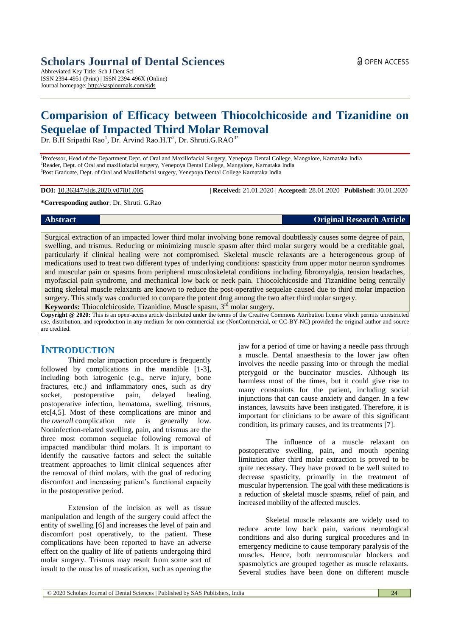# **Scholars Journal of Dental Sciences**

Abbreviated Key Title: Sch J Dent Sci ISSN 2394-4951 (Print) | ISSN 2394-496X (Online) Journal homepage: <http://saspjournals.com/sjds>

# **Comparision of Efficacy between Thiocolchicoside and Tizanidine on Sequelae of Impacted Third Molar Removal**

Dr. B.H Sripathi Rao<sup>1</sup>, Dr. Arvind Rao.H.T<sup>2</sup>, Dr. Shruti.G.RAO<sup>3\*</sup>

<sup>1</sup>Professor, Head of the Department Dept. of Oral and Maxillofacial Surgery, Yenepoya Dental College, Mangalore, Karnataka India <sup>2</sup>Reader, Dept. of Oral and maxillofacial surgery, Yenepoya Dental College, Mangalore, Karnataka India <sup>3</sup>Post Graduate, Dept. of Oral and Maxillofacial surgery, Yenepoya Dental College Karnataka India

**DOI:** 10.36347/sjds.2020.v07i01.005 | **Received:** 21.01.2020 | **Accepted:** 28.01.2020 | **Published:** 30.01.2020

#### **\*Corresponding author**: Dr. Shruti. G.Rao

## **Abstract Original Research Article**

Surgical extraction of an impacted lower third molar involving bone removal doubtlessly causes some degree of pain, swelling, and trismus. Reducing or minimizing muscle spasm after third molar surgery would be a creditable goal, particularly if clinical healing were not compromised. Skeletal muscle relaxants are a heterogeneous group of medications used to treat two different types of underlying conditions: spasticity from upper motor neuron syndromes and muscular pain or spasms from peripheral musculoskeletal conditions including fibromyalgia, tension headaches, myofascial pain syndrome, and mechanical low back or neck pain. Thiocolchicoside and Tizanidine being centrally acting skeletal muscle relaxants are known to reduce the post-operative sequelae caused due to third molar impaction surgery. This study was conducted to compare the potent drug among the two after third molar surgery.

Keywords: Thiocolchicoside, Tizanidine, Muscle spasm, 3<sup>rd</sup> molar surgery.

**Copyright @ 2020:** This is an open-access article distributed under the terms of the Creative Commons Attribution license which permits unrestricted use, distribution, and reproduction in any medium for non-commercial use (NonCommercial, or CC-BY-NC) provided the original author and source are credited.

# **INTRODUCTION**

Third molar impaction procedure is frequently followed by complications in the mandible [1-3], including both iatrogenic (e.g., nerve injury, bone fractures, etc.) and inflammatory ones, such as dry socket, postoperative pain, delayed healing, socket, postoperative pain, delayed healing, postoperative infection, hematoma, swelling, trismus, etc[4,5]. Most of these complications are minor and the *overall* complication rate is generally low. Noninfection-related swelling, pain, and trismus are the three most common sequelae following removal of impacted mandibular third molars. It is important to identify the causative factors and select the suitable treatment approaches to limit clinical sequences after the removal of third molars, with the goal of reducing discomfort and increasing patient's functional capacity in the postoperative period.

Extension of the incision as well as tissue manipulation and length of the surgery could affect the entity of swelling [6] and increases the level of pain and discomfort post operatively, to the patient. These complications have been reported to have an adverse effect on the quality of life of patients undergoing third molar surgery. Trismus may result from some sort of insult to the muscles of mastication, such as opening the

jaw for a period of time or having a needle pass through a muscle. Dental anaesthesia to the lower jaw often involves the needle passing into or through the medial pterygoid or the buccinator muscles. Although its harmless most of the times, but it could give rise to many constraints for the patient, including social injunctions that can cause anxiety and danger. In a few instances, lawsuits have been instigated. Therefore, it is important for clinicians to be aware of this significant condition, its primary causes, and its treatments [7].

The influence of a muscle relaxant on postoperative swelling, pain, and mouth opening limitation after third molar extraction is proved to be quite necessary. They have proved to be well suited to decrease spasticity, primarily in the treatment of muscular hypertension. The goal with these medications is a reduction of skeletal muscle spasms, relief of pain, and increased mobility of the affected muscles.

Skeletal muscle relaxants are widely used to reduce acute low back pain, various neurological conditions and also during surgical procedures and in emergency medicine to cause temporary paralysis of the muscles. Hence, both neuromuscular blockers and spasmolytics are grouped together as muscle relaxants. Several studies have been done on different muscle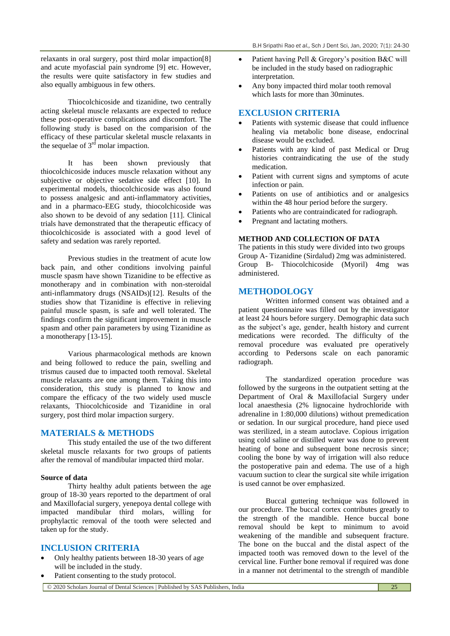relaxants in oral surgery, post third molar impaction[8] and acute myofascial pain syndrome [9] etc. However, the results were quite satisfactory in few studies and also equally ambiguous in few others.

Thiocolchicoside and tizanidine, two centrally acting skeletal muscle relaxants are expected to reduce these post-operative complications and discomfort. The following study is based on the comparision of the efficacy of these particular skeletal muscle relaxants in the sequelae of  $3<sup>rd</sup>$  molar impaction.

It has been shown previously that thiocolchicoside induces muscle relaxation without any subjective or objective sedative side effect [10]. In experimental models, thiocolchicoside was also found to possess analgesic and anti-inflammatory activities, and in a pharmaco-EEG study, thiocolchicoside was also shown to be devoid of any sedation [11]. Clinical trials have demonstrated that the therapeutic efficacy of thiocolchicoside is associated with a good level of safety and sedation was rarely reported.

Previous studies in the treatment of acute low back pain, and other conditions involving painful muscle spasm have shown Tizanidine to be effective as monotherapy and in combination with non-steroidal anti-inflammatory drugs (NSAIDs)[12]. Results of the studies show that Tizanidine is effective in relieving painful muscle spasm, is safe and well tolerated. The findings confirm the significant improvement in muscle spasm and other pain parameters by using Tizanidine as a monotherapy [13-15].

Various pharmacological methods are known and being followed to reduce the pain, swelling and trismus caused due to impacted tooth removal. Skeletal muscle relaxants are one among them. Taking this into consideration, this study is planned to know and compare the efficacy of the two widely used muscle relaxants, Thiocolchicoside and Tizanidine in oral surgery, post third molar impaction surgery.

#### **MATERIALS & METHODS**

This study entailed the use of the two different skeletal muscle relaxants for two groups of patients after the removal of mandibular impacted third molar.

#### **Source of data**

Thirty healthy adult patients between the age group of 18-30 years reported to the department of oral and Maxillofacial surgery, yenepoya dental college with impacted mandibular third molars, willing for prophylactic removal of the tooth were selected and taken up for the study.

## **INCLUSION CRITERIA**

- Only healthy patients between 18-30 years of age will be included in the study.
- Patient consenting to the study protocol.
- Patient having Pell & Gregory's position B&C will be included in the study based on radiographic interpretation.
- Any bony impacted third molar tooth removal which lasts for more than 30minutes.

### **EXCLUSION CRITERIA**

- Patients with systemic disease that could influence healing via metabolic bone disease, endocrinal disease would be excluded.
- Patients with any kind of past Medical or Drug histories contraindicating the use of the study medication.
- Patient with current signs and symptoms of acute infection or pain.
- Patients on use of antibiotics and or analgesics within the 48 hour period before the surgery.
- Patients who are contraindicated for radiograph.
- Pregnant and lactating mothers.

### **METHOD AND COLLECTION OF DATA**

The patients in this study were divided into two groups Group A- Tizanidine (Sirdalud) 2mg was administered. Group B- Thiocolchicoside (Myoril) 4mg was administered.

### **METHODOLOGY**

Written informed consent was obtained and a patient questionnaire was filled out by the investigator at least 24 hours before surgery. Demographic data such as the subject's age, gender, health history and current medications were recorded. The difficulty of the removal procedure was evaluated pre operatively according to Pedersons scale on each panoramic radiograph.

The standardized operation procedure was followed by the surgeons in the outpatient setting at the Department of Oral & Maxillofacial Surgery under local anaesthesia (2% lignocaine hydrochloride with adrenaline in 1:80,000 dilutions) without premedication or sedation. In our surgical procedure, hand piece used was sterilized, in a steam autoclave. Copious irrigation using cold saline or distilled water was done to prevent heating of bone and subsequent bone necrosis since; cooling the bone by way of irrigation will also reduce the postoperative pain and edema. The use of a high vacuum suction to clear the surgical site while irrigation is used cannot be over emphasized.

Buccal guttering technique was followed in our procedure. The buccal cortex contributes greatly to the strength of the mandible. Hence buccal bone removal should be kept to minimum to avoid weakening of the mandible and subsequent fracture. The bone on the buccal and the distal aspect of the impacted tooth was removed down to the level of the cervical line. Further bone removal if required was done in a manner not detrimental to the strength of mandible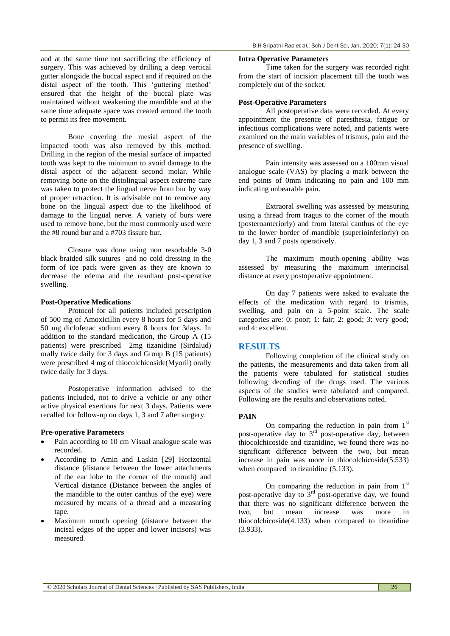and at the same time not sacrificing the efficiency of surgery. This was achieved by drilling a deep vertical gutter alongside the buccal aspect and if required on the distal aspect of the tooth. This 'guttering method' ensured that the height of the buccal plate was maintained without weakening the mandible and at the same time adequate space was created around the tooth to permit its free movement.

Bone covering the mesial aspect of the impacted tooth was also removed by this method. Drilling in the region of the mesial surface of impacted tooth was kept to the minimum to avoid damage to the distal aspect of the adjacent second molar. While removing bone on the distolingual aspect extreme care was taken to protect the lingual nerve from bur by way of proper retraction. It is advisable not to remove any bone on the lingual aspect due to the likelihood of damage to the lingual nerve. A variety of burs were used to remove bone, but the most commonly used were the #8 round bur and a #703 fissure bur.

Closure was done using non resorbable 3-0 black braided silk sutures and no cold dressing in the form of ice pack were given as they are known to decrease the edema and the resultant post-operative swelling.

#### **Post-Operative Medications**

Protocol for all patients included prescription of 500 mg of Amoxicillin every 8 hours for 5 days and 50 mg diclofenac sodium every 8 hours for 3days. In addition to the standard medication, the Group A (15 patients) were prescribed 2mg tizanidine (Sirdalud) orally twice daily for 3 days and Group B (15 patients) were prescribed 4 mg of thiocolchicoside(Myoril) orally twice daily for 3 days.

Postoperative information advised to the patients included, not to drive a vehicle or any other active physical exertions for next 3 days. Patients were recalled for follow-up on days 1, 3 and 7 after surgery.

#### **Pre-operative Parameters**

- Pain according to 10 cm Visual analogue scale was recorded.
- According to Amin and Laskin [29] Horizontal distance (distance between the lower attachments of the ear lobe to the corner of the mouth) and Vertical distance (Distance between the angles of the mandible to the outer canthus of the eye) were measured by means of a thread and a measuring tape.
- Maximum mouth opening (distance between the incisal edges of the upper and lower incisors) was measured.

#### **Intra Operative Parameters**

Time taken for the surgery was recorded right from the start of incision placement till the tooth was completely out of the socket.

#### **Post-Operative Parameters**

All postoperative data were recorded. At every appointment the presence of paresthesia, fatigue or infectious complications were noted, and patients were examined on the main variables of trismus, pain and the presence of swelling.

Pain intensity was assessed on a 100mm visual analogue scale (VAS) by placing a mark between the end points of 0mm indicating no pain and 100 mm indicating unbearable pain.

Extraoral swelling was assessed by measuring using a thread from tragus to the corner of the mouth (posteroanteriorly) and from lateral canthus of the eye to the lower border of mandible (superioinferiorly) on day 1, 3 and 7 posts operatively.

The maximum mouth-opening ability was assessed by measuring the maximum interincisal distance at every postoperative appointment.

On day 7 patients were asked to evaluate the effects of the medication with regard to trismus, swelling, and pain on a 5-point scale. The scale categories are: 0: poor; 1: fair; 2: good; 3: very good; and 4: excellent.

#### **RESULTS**

Following completion of the clinical study on the patients, the measurements and data taken from all the patients were tabulated for statistical studies following decoding of the drugs used. The various aspects of the studies were tabulated and compared. Following are the results and observations noted.

#### **PAIN**

On comparing the reduction in pain from  $1<sup>st</sup>$ post-operative day to  $3<sup>rd</sup>$  post-operative day, between thiocolchicoside and tizanidine, we found there was no significant difference between the two, but mean increase in pain was more in thiocolchicoside(5.533) when compared to tizanidine  $(5.133)$ .

On comparing the reduction in pain from  $1<sup>st</sup>$ post-operative day to  $3<sup>rd</sup>$  post-operative day, we found that there was no significant difference between the two, but mean increase was more in thiocolchicoside(4.133) when compared to tizanidine (3.933).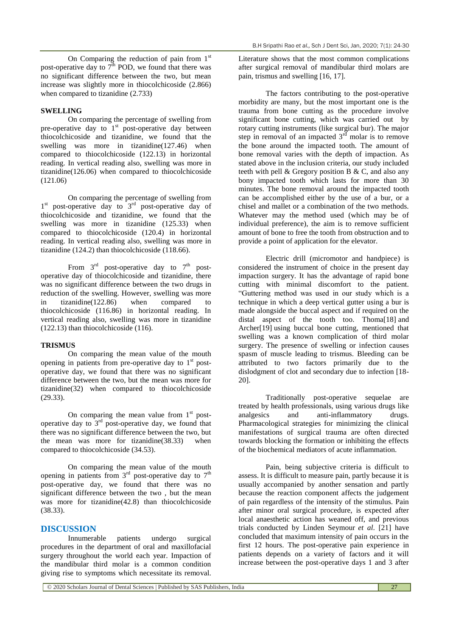On Comparing the reduction of pain from  $1<sup>st</sup>$ post-operative day to  $7<sup>th</sup>$  POD, we found that there was no significant difference between the two, but mean increase was slightly more in thiocolchicoside (2.866) when compared to tizanidine (2.733)

#### **SWELLING**

On comparing the percentage of swelling from pre-operative day to  $1<sup>st</sup>$  post-operative day between thiocolchicoside and tizanidine, we found that the swelling was more in tizanidine(127.46) when compared to thiocolchicoside (122.13) in horizontal reading. In vertical reading also, swelling was more in tizanidine(126.06) when compared to thiocolchicoside (121.06)

On comparing the percentage of swelling from 1<sup>st</sup> post-operative day to 3<sup>rd</sup> post-operative day of thiocolchicoside and tizanidine, we found that the swelling was more in tizanidine (125.33) when compared to thiocolchicoside (120.4) in horizontal reading. In vertical reading also, swelling was more in tizanidine (124.2) than thiocolchicoside (118.66).

From  $3^{\text{rd}}$  post-operative day to  $7^{\text{th}}$  postoperative day of thiocolchicoside and tizanidine, there was no significant difference between the two drugs in reduction of the swelling. However, swelling was more in tizanidine(122.86) when compared to thiocolchicoside (116.86) in horizontal reading. In vertical reading also, swelling was more in tizanidine (122.13) than thiocolchicoside (116).

#### **TRISMUS**

On comparing the mean value of the mouth opening in patients from pre-operative day to  $1<sup>st</sup>$  postoperative day, we found that there was no significant difference between the two, but the mean was more for tizanidine(32) when compared to thiocolchicoside (29.33).

On comparing the mean value from  $1<sup>st</sup>$  postoperative day to  $3<sup>rd</sup>$  post-operative day, we found that there was no significant difference between the two, but the mean was more for tizanidine(38.33) when compared to thiocolchicoside (34.53).

On comparing the mean value of the mouth opening in patients from  $3<sup>rd</sup>$  post-operative day to  $7<sup>th</sup>$ post-operative day, we found that there was no significant difference between the two , but the mean was more for tizanidine(42.8) than thiocolchicoside (38.33).

#### **DISCUSSION**

Innumerable patients undergo surgical procedures in the department of oral and maxillofacial surgery throughout the world each year. Impaction of the mandibular third molar is a common condition giving rise to symptoms which necessitate its removal.

Literature shows that the most common complications after surgical removal of mandibular third molars are pain, trismus and swelling [16, 17].

The factors contributing to the post-operative morbidity are many, but the most important one is the trauma from bone cutting as the procedure involve significant bone cutting, which was carried out by rotary cutting instruments (like surgical bur). The major step in removal of an impacted  $3<sup>rd</sup>$  molar is to remove the bone around the impacted tooth. The amount of bone removal varies with the depth of impaction. As stated above in the inclusion criteria, our study included teeth with pell & Gregory position B & C, and also any bony impacted tooth which lasts for more than 30 minutes. The bone removal around the impacted tooth can be accomplished either by the use of a bur, or a chisel and mallet or a combination of the two methods. Whatever may the method used (which may be of individual preference), the aim is to remove sufficient amount of bone to free the tooth from obstruction and to provide a point of application for the elevator.

Electric drill (micromotor and handpiece) is considered the instrument of choice in the present day impaction surgery. It has the advantage of rapid bone cutting with minimal discomfort to the patient. "Guttering method was used in our study which is a technique in which a deep vertical gutter using a bur is made alongside the buccal aspect and if required on the distal aspect of the tooth too. Thoma[18] and Archer[19] using buccal bone cutting, mentioned that swelling was a known complication of third molar surgery. The presence of swelling or infection causes spasm of muscle leading to trismus. Bleeding can be attributed to two factors primarily due to the dislodgment of clot and secondary due to infection [18- 20].

Traditionally post-operative sequelae are treated by health professionals, using various drugs like analgesics and anti-inflammatory drugs. Pharmacological strategies for minimizing the clinical manifestations of surgical trauma are often directed towards blocking the formation or inhibiting the effects of the biochemical mediators of acute inflammation.

Pain, being subjective criteria is difficult to assess. It is difficult to measure pain, partly because it is usually accompanied by another sensation and partly because the reaction component affects the judgement of pain regardless of the intensity of the stimulus. Pain after minor oral surgical procedure, is expected after local anaesthetic action has weaned off, and previous trials conducted by Linden Seymour *et al*. [21] have concluded that maximum intensity of pain occurs in the first 12 hours. The post-operative pain experience in patients depends on a variety of factors and it will increase between the post-operative days 1 and 3 after

© 2020 Scholars Journal of Dental Sciences | Published by SAS Publishers, India 27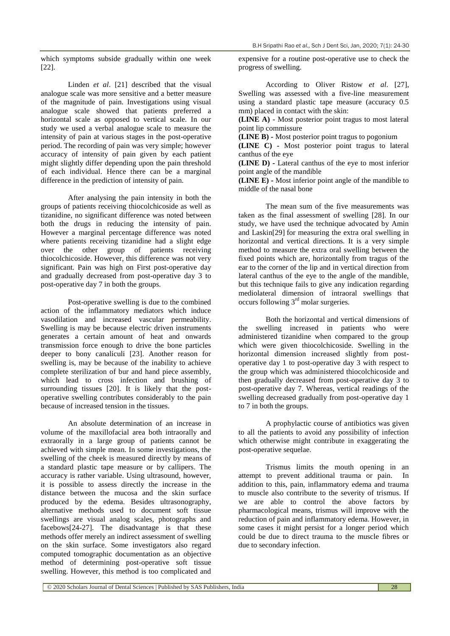B.H Sripathi Rao *et al.,* Sch J Dent Sci, Jan, 2020; 7(1): 24-30

which symptoms subside gradually within one week [22].

Linden *et al*. [21] described that the visual analogue scale was more sensitive and a better measure of the magnitude of pain. Investigations using visual analogue scale showed that patients preferred a horizontal scale as opposed to vertical scale. In our study we used a verbal analogue scale to measure the intensity of pain at various stages in the post-operative period. The recording of pain was very simple; however accuracy of intensity of pain given by each patient might slightly differ depending upon the pain threshold of each individual. Hence there can be a marginal difference in the prediction of intensity of pain.

After analysing the pain intensity in both the groups of patients receiving thiocolchicoside as well as tizanidine, no significant difference was noted between both the drugs in reducing the intensity of pain. However a marginal percentage difference was noted where patients receiving tizanidine had a slight edge over the other group of patients receiving thiocolchicoside. However, this difference was not very significant. Pain was high on First post-operative day and gradually decreased from post-operative day 3 to post-operative day 7 in both the groups.

Post-operative swelling is due to the combined action of the inflammatory mediators which induce vasodilation and increased vascular permeability. Swelling is may be because electric driven instruments generates a certain amount of heat and onwards transmission force enough to drive the bone particles deeper to bony canaliculi [23]. Another reason for swelling is, may be because of the inability to achieve complete sterilization of bur and hand piece assembly, which lead to cross infection and brushing of surrounding tissues [20]. It is likely that the postoperative swelling contributes considerably to the pain because of increased tension in the tissues.

An absolute determination of an increase in volume of the maxillofacial area both intraorally and extraorally in a large group of patients cannot be achieved with simple mean. In some investigations, the swelling of the cheek is measured directly by means of a standard plastic tape measure or by callipers. The accuracy is rather variable. Using ultrasound, however, it is possible to assess directly the increase in the distance between the mucosa and the skin surface produced by the edema. Besides ultrasonography, alternative methods used to document soft tissue swellings are visual analog scales, photographs and facebows[24-27]. The disadvantage is that these methods offer merely an indirect assessment of swelling on the skin surface. Some investigators also regard computed tomographic documentation as an objective method of determining post-operative soft tissue swelling. However, this method is too complicated and

expensive for a routine post-operative use to check the progress of swelling.

According to Oliver Ristow *et al*. [27], Swelling was assessed with a five-line measurement using a standard plastic tape measure (accuracy 0.5 mm) placed in contact with the skin:

**(LINE A)** - Most posterior point tragus to most lateral point lip commissure

**(LINE B) -** Most posterior point tragus to pogonium

**(LINE C) -** Most posterior point tragus to lateral canthus of the eye

**(LINE D) -** Lateral canthus of the eye to most inferior point angle of the mandible

**(LINE E) -** Most inferior point angle of the mandible to middle of the nasal bone

The mean sum of the five measurements was taken as the final assessment of swelling [28]. In our study, we have used the technique advocated by Amin and Laskin[29] for measuring the extra oral swelling in horizontal and vertical directions. It is a very simple method to measure the extra oral swelling between the fixed points which are, horizontally from tragus of the ear to the corner of the lip and in vertical direction from lateral canthus of the eye to the angle of the mandible, but this technique fails to give any indication regarding mediolateral dimension of intraoral swellings that occurs following  $3<sup>rd</sup>$  molar surgeries.

Both the horizontal and vertical dimensions of the swelling increased in patients who were administered tizanidine when compared to the group which were given thiocolchicoside. Swelling in the horizontal dimension increased slightly from postoperative day 1 to post-operative day 3 with respect to the group which was administered thiocolchicoside and then gradually decreased from post-operative day 3 to post-operative day 7. Whereas, vertical readings of the swelling decreased gradually from post-operative day 1 to 7 in both the groups.

A prophylactic course of antibiotics was given to all the patients to avoid any possibility of infection which otherwise might contribute in exaggerating the post-operative sequelae.

Trismus limits the mouth opening in an attempt to prevent additional trauma or pain. In addition to this, pain, inflammatory edema and trauma to muscle also contribute to the severity of trismus. If we are able to control the above factors by pharmacological means, trismus will improve with the reduction of pain and inflammatory edema. However, in some cases it might persist for a longer period which could be due to direct trauma to the muscle fibres or due to secondary infection.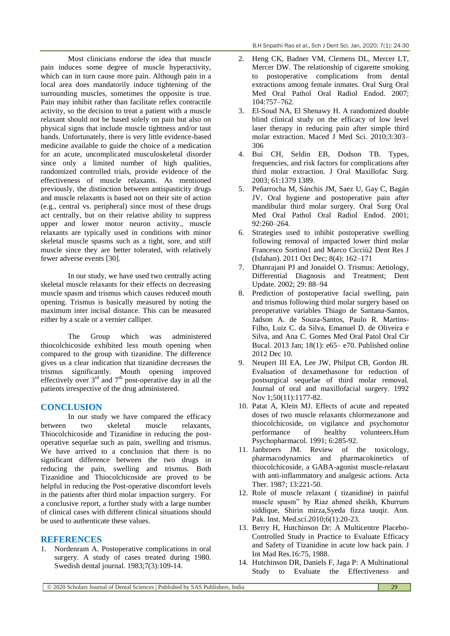Most clinicians endorse the idea that muscle pain induces some degree of muscle hyperactivity, which can in turn cause more pain. Although pain in a local area does mandatorily induce tightening of the surrounding muscles, sometimes the opposite is true. Pain may inhibit rather than facilitate reflex contractile activity, so the decision to treat a patient with a muscle relaxant should not be based solely on pain but also on physical signs that include muscle tightness and/or taut bands. Unfortunately, there is very little evidence-based medicine available to guide the choice of a medication for an acute, uncomplicated musculoskeletal disorder since only a limited number of high qualities, randomized controlled trials, provide evidence of the effectiveness of muscle relaxants. As mentioned previously, the distinction between antispasticity drugs and muscle relaxants is based not on their site of action (e.g., central vs. peripheral) since most of these drugs act centrally, but on their relative ability to suppress upper and lower motor neuron activity., muscle relaxants are typically used in conditions with minor skeletal muscle spasms such as a tight, sore, and stiff muscle since they are better tolerated, with relatively fewer adverse events [30].

In our study, we have used two centrally acting skeletal muscle relaxants for their effects on decreasing muscle spasm and trismus which causes reduced mouth opening. Trismus is basically measured by noting the maximum inter incisal distance. This can be measured either by a scale or a vernier calliper.

The Group which was administered thiocolchicoside exhibited less mouth opening when compared to the group with tizanidine. The difference gives us a clear indication that tizanidine decreases the trismus significantly. Mouth opening improved effectively over  $3<sup>rd</sup>$  and  $7<sup>th</sup>$  post-operative day in all the patients irrespective of the drug administered.

#### **CONCLUSION**

In our study we have compared the efficacy between two skeletal muscle relaxants, Thiocolchicoside and Tizanidine in reducing the postoperative sequelae such as pain, swelling and trismus. We have arrived to a conclusion that there is no significant difference between the two drugs in reducing the pain, swelling and trismus. Both Tizanidine and Thiocolchicoside are proved to be helpful in reducing the Post-operative discomfort levels in the patients after third molar impaction surgery. For a conclusive report, a further study with a large number of clinical cases with different clinical situations should be used to authenticate these values.

#### **REFERENCES**

1. Nordenram A. Postoperative complications in oral surgery. A study of cases treated during 1980. Swedish dental journal. 1983;7(3):109-14.

- 2. Heng CK, Badner VM, Clemens DL, Mercer LT, Mercer DW. The relationship of cigarette smoking to postoperative complications from dental extractions among female inmates. Oral Surg Oral Med Oral Pathol Oral Radiol Endod. 2007; 104:757–762.
- 3. El-Soud NA, El Shenawy H. A randomized double blind clinical study on the efficacy of low level laser therapy in reducing pain after simple third molar extraction. Maced J Med Sci. 2010;3:303– 306
- 4. Bui CH, Seldin EB, Dodson TB. Types, frequencies, and risk factors for complications after third molar extraction. J Oral Maxillofac Surg. 2003; 61:1379 1389.
- 5. Peñarrocha M, Sánchis JM, Saez U, Gay C, Bagán JV. Oral hygiene and postoperative pain after mandibular third molar surgery. Oral Surg Oral Med Oral Pathol Oral Radiol Endod. 2001; 92:260–264.
- 6. Strategies used to inhibit postoperative swelling following removal of impacted lower third molar Francesco Sortino1 and Marco Cicciù2 Dent Res J (Isfahan). 2011 Oct Dec; 8(4): 162–171
- 7. Dhanrajani PJ and Jonaidel O. Trismus: Aetiology, Differential Diagnosis and Treatment; Dent Update. 2002; 29: 88–94
- 8. Prediction of postoperative facial swelling, pain and trismus following third molar surgery based on preoperative variables Thiago de Santana-Santos, Jadson A. de Souza-Santos, Paulo R. Martins-Filho, Luiz C. da Silva, Emanuel D. de Oliveira e Silva, and Ana C. Gomes Med Oral Patol Oral Cir Bucal. 2013 Jan; 18(1): e65– e70. Published online 2012 Dec 10.
- 9. Neupert III EA, Lee JW, Philput CB, Gordon JR. Evaluation of dexamethasone for reduction of postsurgical sequelae of third molar removal. Journal of oral and maxillofacial surgery. 1992 Nov 1;50(11):1177-82.
- 10. Patat A, Klein MJ. Effects of acute and repeated doses of two muscle relaxants chlormezanone and thiocolchicoside, on vigilance and psychomotor performance of healthy volunteers.Hum Psychopharmacol. 1991; 6:285-92.
- 11. Janbroers JM. Review of the toxicology, pharmacodynamics and pharmacokinetics of thiocolchicoside, a GABA-agonist muscle-relaxant with anti-inflammatory and analgesic actions. Acta Ther. 1987; 13:221-50.
- 12. Role of muscle relaxant ( tizanidine) in painful muscle spasm" by Riaz ahmed sheikh, Khurrum siddique, Shirin mirza,Syeda fizza tauqir. Ann. Pak. Inst. Med.sci.2010;6(1):20-23.
- 13. Berry H, Hutchinson Dr: A Multicentre Placebo-Controlled Study in Practice to Evaluate Efficacy and Safety of Tizanidine in acute low back pain. J Int Mad Res.16:75, 1988.
- 14. Hutchinson DR, Daniels F, Jaga P: A Multinational Study to Evaluate the Effectiveness and